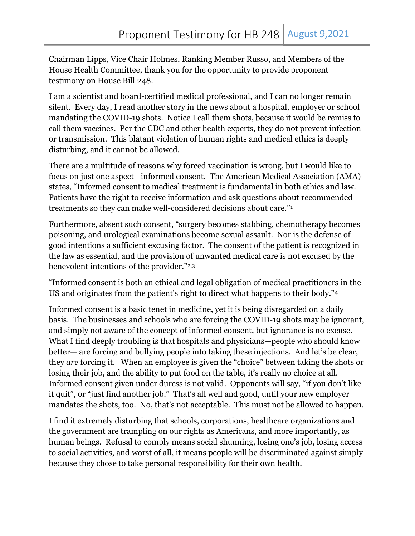Chairman Lipps, Vice Chair Holmes, Ranking Member Russo, and Members of the House Health Committee, thank you for the opportunity to provide proponent testimony on House Bill 248.

I am a scientist and board-certified medical professional, and I can no longer remain silent. Every day, I read another story in the news about a hospital, employer or school mandating the COVID-19 shots. Notice I call them shots, because it would be remiss to call them vaccines. Per the CDC and other health experts, they do not prevent infection or transmission. This blatant violation of human rights and medical ethics is deeply disturbing, and it cannot be allowed.

There are a multitude of reasons why forced vaccination is wrong, but I would like to focus on just one aspect—informed consent. The American Medical Association (AMA) states, "Informed consent to medical treatment is fundamental in both ethics and law. Patients have the right to receive information and ask questions about recommended treatments so they can make well-considered decisions about care."<sup>1</sup>

Furthermore, absent such consent, "surgery becomes stabbing, chemotherapy becomes poisoning, and urological examinations become sexual assault. Nor is the defense of good intentions a sufficient excusing factor. The consent of the patient is recognized in the law as essential, and the provision of unwanted medical care is not excused by the benevolent intentions of the provider."2,3

"Informed consent is both an ethical and legal obligation of medical practitioners in the US and originates from the patient's right to direct what happens to their body."<sup>4</sup>

Informed consent is a basic tenet in medicine, yet it is being disregarded on a daily basis. The businesses and schools who are forcing the COVID-19 shots may be ignorant, and simply not aware of the concept of informed consent, but ignorance is no excuse. What I find deeply troubling is that hospitals and physicians—people who should know better— are forcing and bullying people into taking these injections. And let's be clear, they are forcing it. When an employee is given the "choice" between taking the shots or losing their job, and the ability to put food on the table, it's really no choice at all. Informed consent given under duress is not valid. Opponents will say, "if you don't like it quit", or "just find another job." That's all well and good, until your new employer mandates the shots, too. No, that's not acceptable. This must not be allowed to happen.

I find it extremely disturbing that schools, corporations, healthcare organizations and the government are trampling on our rights as Americans, and more importantly, as human beings. Refusal to comply means social shunning, losing one's job, losing access to social activities, and worst of all, it means people will be discriminated against simply because they chose to take personal responsibility for their own health.